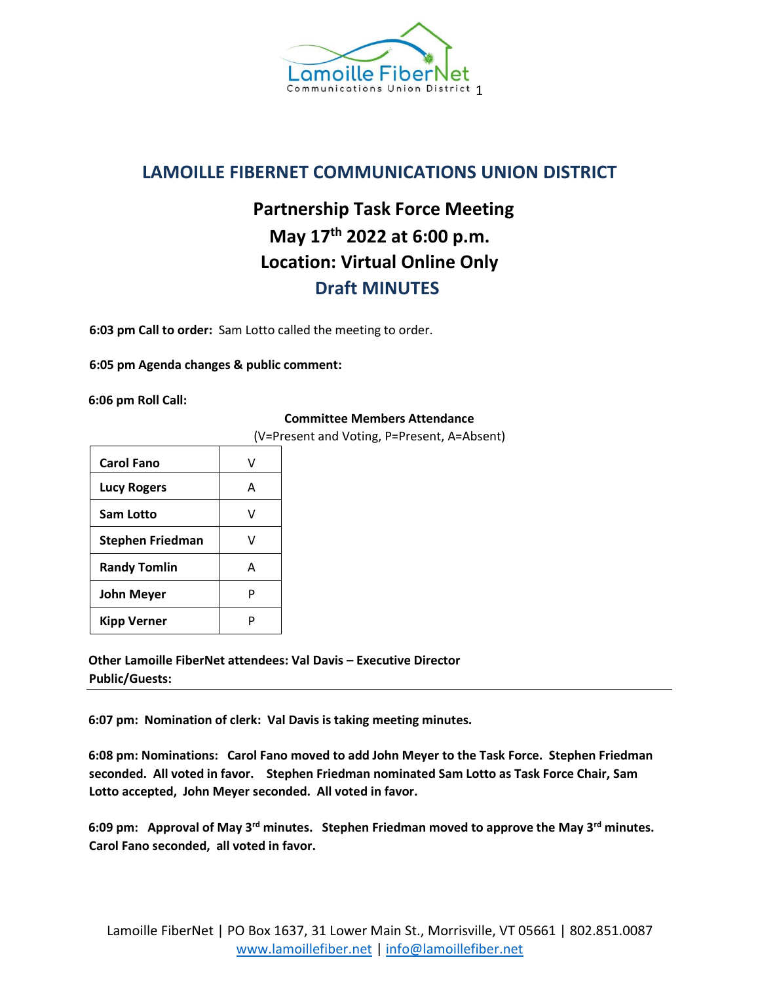

## **LAMOILLE FIBERNET COMMUNICATIONS UNION DISTRICT**

## **Partnership Task Force Meeting May 17th 2022 at 6:00 p.m. Location: Virtual Online Only Draft MINUTES**

**6:03 pm Call to order:** Sam Lotto called the meeting to order.

**6:05 pm Agenda changes & public comment:**

**6:06 pm Roll Call:** 

## **Committee Members Attendance**

(V=Present and Voting, P=Present, A=Absent)

| <b>Carol Fano</b>       |   |
|-------------------------|---|
| <b>Lucy Rogers</b>      | А |
| <b>Sam Lotto</b>        |   |
| <b>Stephen Friedman</b> | V |
| <b>Randy Tomlin</b>     | А |
| John Meyer              | р |
| Kipp Verner             |   |

**Other Lamoille FiberNet attendees: Val Davis – Executive Director Public/Guests:** 

**6:07 pm: Nomination of clerk: Val Davis is taking meeting minutes.** 

**6:08 pm: Nominations: Carol Fano moved to add John Meyer to the Task Force. Stephen Friedman seconded. All voted in favor. Stephen Friedman nominated Sam Lotto as Task Force Chair, Sam Lotto accepted, John Meyer seconded. All voted in favor.**

**6:09 pm: Approval of May 3rd minutes. Stephen Friedman moved to approve the May 3rd minutes. Carol Fano seconded, all voted in favor.**